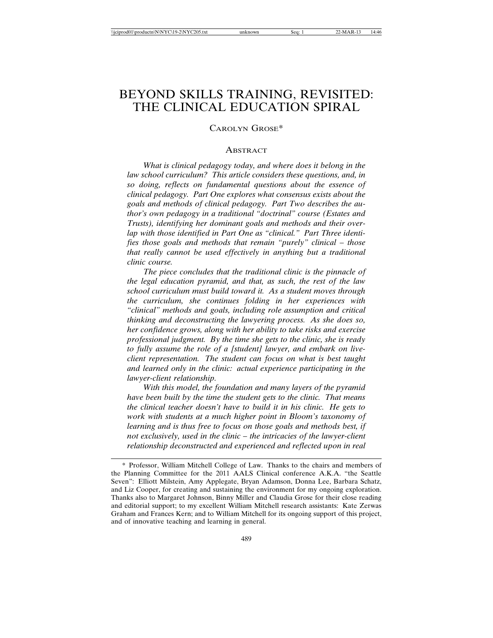# BEYOND SKILLS TRAINING, REVISITED: THE CLINICAL EDUCATION SPIRAL

# CAROLYN GROSE\*

#### **ABSTRACT**

*What is clinical pedagogy today, and where does it belong in the law school curriculum? This article considers these questions, and, in so doing, reflects on fundamental questions about the essence of clinical pedagogy. Part One explores what consensus exists about the goals and methods of clinical pedagogy. Part Two describes the author's own pedagogy in a traditional "doctrinal" course (Estates and Trusts), identifying her dominant goals and methods and their overlap with those identified in Part One as "clinical." Part Three identifies those goals and methods that remain "purely" clinical – those that really cannot be used effectively in anything but a traditional clinic course.*

*The piece concludes that the traditional clinic is the pinnacle of the legal education pyramid, and that, as such, the rest of the law school curriculum must build toward it. As a student moves through the curriculum, she continues folding in her experiences with "clinical" methods and goals, including role assumption and critical thinking and deconstructing the lawyering process. As she does so, her confidence grows, along with her ability to take risks and exercise professional judgment. By the time she gets to the clinic, she is ready to fully assume the role of a [student] lawyer, and embark on liveclient representation. The student can focus on what is best taught and learned only in the clinic: actual experience participating in the lawyer-client relationship.*

*With this model, the foundation and many layers of the pyramid have been built by the time the student gets to the clinic. That means the clinical teacher doesn't have to build it in his clinic. He gets to work with students at a much higher point in Bloom's taxonomy of learning and is thus free to focus on those goals and methods best, if not exclusively, used in the clinic – the intricacies of the lawyer-client relationship deconstructed and experienced and reflected upon in real*

<sup>\*</sup> Professor, William Mitchell College of Law. Thanks to the chairs and members of the Planning Committee for the 2011 AALS Clinical conference A.K.A. "the Seattle Seven": Elliott Milstein, Amy Applegate, Bryan Adamson, Donna Lee, Barbara Schatz, and Liz Cooper, for creating and sustaining the environment for my ongoing exploration. Thanks also to Margaret Johnson, Binny Miller and Claudia Grose for their close reading and editorial support; to my excellent William Mitchell research assistants: Kate Zerwas Graham and Frances Kern; and to William Mitchell for its ongoing support of this project, and of innovative teaching and learning in general.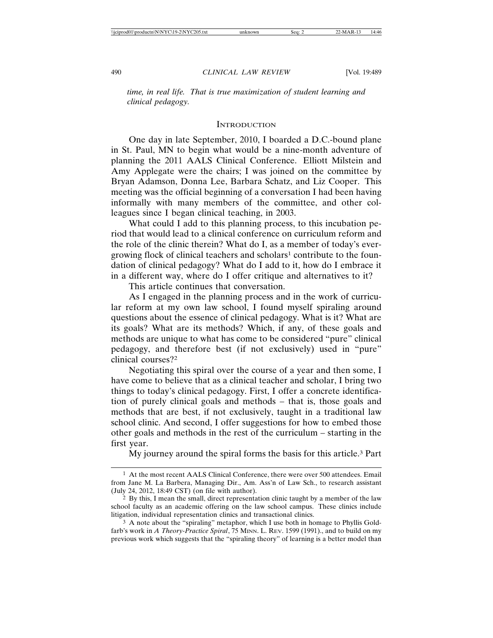*time, in real life. That is true maximization of student learning and clinical pedagogy.*

## **INTRODUCTION**

One day in late September, 2010, I boarded a D.C.-bound plane in St. Paul, MN to begin what would be a nine-month adventure of planning the 2011 AALS Clinical Conference. Elliott Milstein and Amy Applegate were the chairs; I was joined on the committee by Bryan Adamson, Donna Lee, Barbara Schatz, and Liz Cooper. This meeting was the official beginning of a conversation I had been having informally with many members of the committee, and other colleagues since I began clinical teaching, in 2003.

What could I add to this planning process, to this incubation period that would lead to a clinical conference on curriculum reform and the role of the clinic therein? What do I, as a member of today's evergrowing flock of clinical teachers and scholars<sup>1</sup> contribute to the foundation of clinical pedagogy? What do I add to it, how do I embrace it in a different way, where do I offer critique and alternatives to it?

This article continues that conversation.

As I engaged in the planning process and in the work of curricular reform at my own law school, I found myself spiraling around questions about the essence of clinical pedagogy. What is it? What are its goals? What are its methods? Which, if any, of these goals and methods are unique to what has come to be considered "pure" clinical pedagogy, and therefore best (if not exclusively) used in "pure" clinical courses?2

Negotiating this spiral over the course of a year and then some, I have come to believe that as a clinical teacher and scholar, I bring two things to today's clinical pedagogy. First, I offer a concrete identification of purely clinical goals and methods – that is, those goals and methods that are best, if not exclusively, taught in a traditional law school clinic. And second, I offer suggestions for how to embed those other goals and methods in the rest of the curriculum – starting in the first year.

My journey around the spiral forms the basis for this article.3 Part

<sup>&</sup>lt;sup>1</sup> At the most recent AALS Clinical Conference, there were over 500 attendees. Email from Jane M. La Barbera, Managing Dir., Am. Ass'n of Law Sch., to research assistant (July 24, 2012, 18:49 CST) (on file with author).

<sup>2</sup> By this, I mean the small, direct representation clinic taught by a member of the law school faculty as an academic offering on the law school campus. These clinics include litigation, individual representation clinics and transactional clinics.

<sup>&</sup>lt;sup>3</sup> A note about the "spiraling" metaphor, which I use both in homage to Phyllis Goldfarb's work in *A Theory-Practice Spiral*, 75 MINN. L. REV. 1599 (1991)., and to build on my previous work which suggests that the "spiraling theory" of learning is a better model than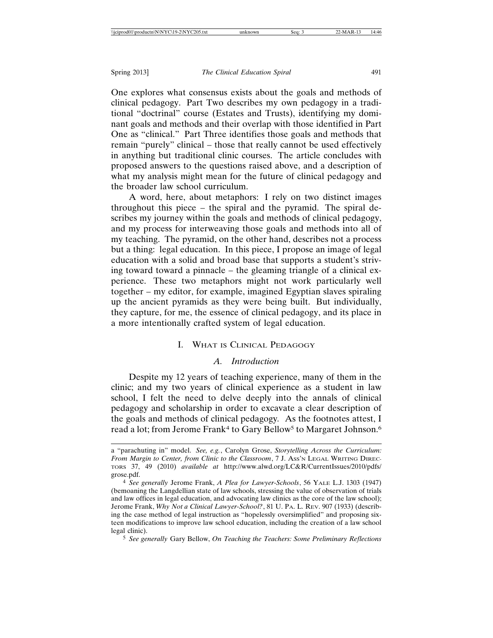One explores what consensus exists about the goals and methods of clinical pedagogy. Part Two describes my own pedagogy in a traditional "doctrinal" course (Estates and Trusts), identifying my dominant goals and methods and their overlap with those identified in Part One as "clinical." Part Three identifies those goals and methods that remain "purely" clinical – those that really cannot be used effectively in anything but traditional clinic courses. The article concludes with proposed answers to the questions raised above, and a description of what my analysis might mean for the future of clinical pedagogy and the broader law school curriculum.

A word, here, about metaphors: I rely on two distinct images throughout this piece – the spiral and the pyramid. The spiral describes my journey within the goals and methods of clinical pedagogy, and my process for interweaving those goals and methods into all of my teaching. The pyramid, on the other hand, describes not a process but a thing: legal education. In this piece, I propose an image of legal education with a solid and broad base that supports a student's striving toward toward a pinnacle – the gleaming triangle of a clinical experience. These two metaphors might not work particularly well together – my editor, for example, imagined Egyptian slaves spiraling up the ancient pyramids as they were being built. But individually, they capture, for me, the essence of clinical pedagogy, and its place in a more intentionally crafted system of legal education.

# I. WHAT IS CLINICAL PEDAGOGY

#### *A. Introduction*

Despite my 12 years of teaching experience, many of them in the clinic; and my two years of clinical experience as a student in law school, I felt the need to delve deeply into the annals of clinical pedagogy and scholarship in order to excavate a clear description of the goals and methods of clinical pedagogy*.* As the footnotes attest, I read a lot; from Jerome Frank<sup>4</sup> to Gary Bellow<sup>5</sup> to Margaret Johnson.<sup>6</sup>

5 *See generally* Gary Bellow, *On Teaching the Teachers: Some Preliminary Reflections*

a "parachuting in" model. *See, e.g.*, Carolyn Grose, *Storytelling Across the Curriculum: From Margin to Center, from Clinic to the Classroom*, 7 J. Ass'n LEGAL WRITING DIREC-TORS 37, 49 (2010) *available at* http://www.alwd.org/LC&R/CurrentIssues/2010/pdfs/ grose.pdf.

<sup>4</sup> *See generally* Jerome Frank, *A Plea for Lawyer-Schools*, 56 YALE L.J. 1303 (1947) (bemoaning the Langdellian state of law schools, stressing the value of observation of trials and law offices in legal education, and advocating law clinics as the core of the law school); Jerome Frank, *Why Not a Clinical Lawyer-School?*, 81 U. PA. L. REV. 907 (1933) (describing the case method of legal instruction as "hopelessly oversimplified" and proposing sixteen modifications to improve law school education, including the creation of a law school legal clinic).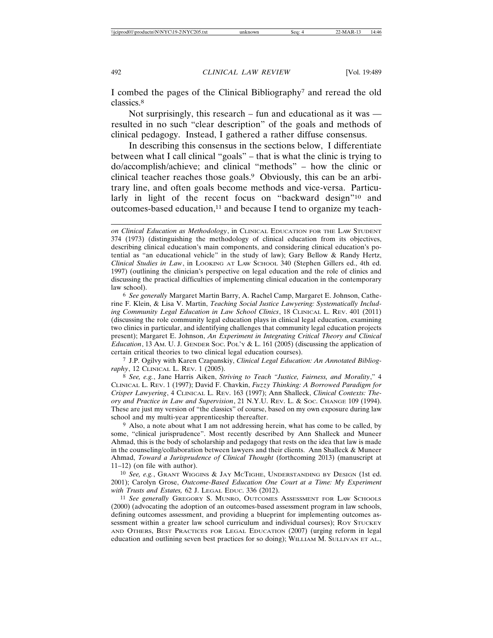I combed the pages of the Clinical Bibliography7 and reread the old classics.8

Not surprisingly, this research – fun and educational as it was resulted in no such "clear description" of the goals and methods of clinical pedagogy. Instead, I gathered a rather diffuse consensus.

In describing this consensus in the sections below, I differentiate between what I call clinical "goals" – that is what the clinic is trying to do/accomplish/achieve; and clinical "methods" – how the clinic or clinical teacher reaches those goals.9 Obviously, this can be an arbitrary line, and often goals become methods and vice-versa. Particularly in light of the recent focus on "backward design"<sup>10</sup> and outcomes-based education, $11$  and because I tend to organize my teach-

7 J.P. Ogilvy with Karen Czapanskiy, *Clinical Legal Education: An Annotated Bibliography*, 12 CLINICAL L. REV. 1 (2005).

8 *See, e.g.*, Jane Harris Aiken, *Striving to Teach "Justice, Fairness, and Morality*," 4 CLINICAL L. REV. 1 (1997); David F. Chavkin, *Fuzzy Thinking: A Borrowed Paradigm for Crisper Lawyering*, 4 CLINICAL L. REV. 163 (1997); Ann Shalleck, *Clinical Contexts: Theory and Practice in Law and Supervision*, 21 N.Y.U. REV. L. & SOC. CHANGE 109 (1994). These are just my version of "the classics" of course, based on my own exposure during law school and my multi-year apprenticeship thereafter.

<sup>9</sup> Also, a note about what I am not addressing herein, what has come to be called, by some, "clinical jurisprudence". Most recently described by Ann Shalleck and Muneer Ahmad, this is the body of scholarship and pedagogy that rests on the idea that law is made in the counseling/collaboration between lawyers and their clients. Ann Shalleck  $\&$  Muneer Ahmad, *Toward a Jurisprudence of Clinical Thought* (forthcoming 2013) (manuscript at 11–12) (on file with author).

10 *See, e.g.*, GRANT WIGGINS & JAY MCTIGHE, UNDERSTANDING BY DESIGN (1st ed. 2001); Carolyn Grose, *Outcome-Based Education One Court at a Time: My Experiment with Trusts and Estates,* 62 J. LEGAL EDUC. 336 (2012).

11 *See generally* GREGORY S. MUNRO, OUTCOMES ASSESSMENT FOR LAW SCHOOLS (2000) (advocating the adoption of an outcomes-based assessment program in law schools, defining outcomes assessment, and providing a blueprint for implementing outcomes assessment within a greater law school curriculum and individual courses); ROY STUCKEY AND OTHERS, BEST PRACTICES FOR LEGAL EDUCATION (2007) (urging reform in legal education and outlining seven best practices for so doing); WILLIAM M. SULLIVAN ET AL.,

*on Clinical Education as Methodology*, in CLINICAL EDUCATION FOR THE LAW STUDENT 374 (1973) (distinguishing the methodology of clinical education from its objectives, describing clinical education's main components, and considering clinical education's potential as "an educational vehicle" in the study of law); Gary Bellow & Randy Hertz, *Clinical Studies in Law*, in LOOKING AT LAW SCHOOL 340 (Stephen Gillers ed., 4th ed. 1997) (outlining the clinician's perspective on legal education and the role of clinics and discussing the practical difficulties of implementing clinical education in the contemporary law school).

<sup>6</sup> *See generally* Margaret Martin Barry, A. Rachel Camp, Margaret E. Johnson, Catherine F. Klein, & Lisa V. Martin, *Teaching Social Justice Lawyering: Systematically Including Community Legal Education in Law School Clinics*, 18 CLINICAL L. REV. 401 (2011) (discussing the role community legal education plays in clinical legal education, examining two clinics in particular, and identifying challenges that community legal education projects present); Margaret E. Johnson, *An Experiment in Integrating Critical Theory and Clinical Education*, 13 AM. U. J. GENDER SOC. POL'Y & L. 161 (2005) (discussing the application of certain critical theories to two clinical legal education courses).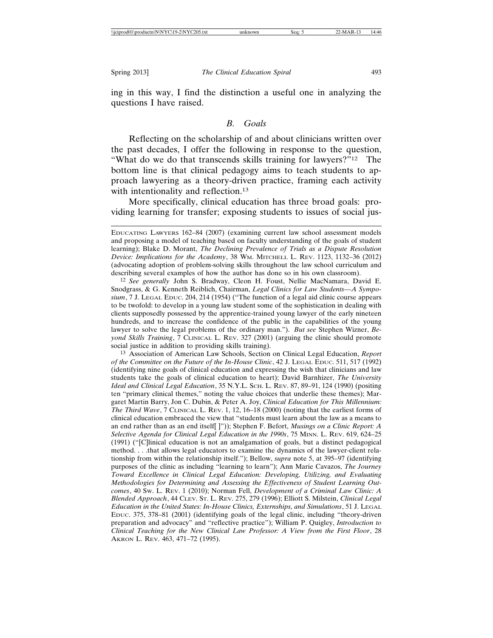ing in this way, I find the distinction a useful one in analyzing the questions I have raised.

#### *B. Goals*

Reflecting on the scholarship of and about clinicians written over the past decades, I offer the following in response to the question, "What do we do that transcends skills training for lawyers?"12 The bottom line is that clinical pedagogy aims to teach students to approach lawyering as a theory-driven practice, framing each activity with intentionality and reflection.<sup>13</sup>

More specifically, clinical education has three broad goals: providing learning for transfer; exposing students to issues of social jus-

13 Association of American Law Schools, Section on Clinical Legal Education, *Report of the Committee on the Future of the In-House Clinic*, 42 J. LEGAL EDUC. 511, 517 (1992) (identifying nine goals of clinical education and expressing the wish that clinicians and law students take the goals of clinical education to heart); David Barnhizer, *The University Ideal and Clinical Legal Education*, 35 N.Y.L. SCH. L. REV. 87, 89–91, 124 (1990) (positing ten "primary clinical themes," noting the value choices that underlie these themes); Margaret Martin Barry, Jon C. Dubin, & Peter A. Joy, *Clinical Education for This Millennium: The Third Wave*, 7 CLINICAL L. REV. 1, 12, 16–18 (2000) (noting that the earliest forms of clinical education embraced the view that "students must learn about the law as a means to an end rather than as an end itself[ ]")); Stephen F. Befort, *Musings on a Clinic Report: A Selective Agenda for Clinical Legal Education in the 1990s*, 75 MINN. L. REV. 619, 624–25 (1991) ("[C]linical education is not an amalgamation of goals, but a distinct pedagogical method. . . .that allows legal educators to examine the dynamics of the lawyer-client relationship from within the relationship itself."); Bellow, *supra* note 5, at 395–97 (identifying purposes of the clinic as including "learning to learn"); Ann Marie Cavazos, *The Journey Toward Excellence in Clinical Legal Education: Developing, Utilizing, and Evaluating Methodologies for Determining and Assessing the Effectiveness of Student Learning Outcomes*, 40 SW. L. REV. 1 (2010); Norman Fell, *Development of a Criminal Law Clinic: A Blended Approach*, 44 CLEV. ST. L. REV. 275, 279 (1996); Elliott S. Milstein, *Clinical Legal Education in the United States: In-House Clinics, Externships, and Simulations*, 51 J. LEGAL EDUC. 375, 378–81 (2001) (identifying goals of the legal clinic, including "theory-driven preparation and advocacy" and "reflective practice"); William P. Quigley, *Introduction to Clinical Teaching for the New Clinical Law Professor: A View from the First Floor*, 28 AKRON L. REV. 463, 471–72 (1995).

EDUCATING LAWYERS 162–84 (2007) (examining current law school assessment models and proposing a model of teaching based on faculty understanding of the goals of student learning); Blake D. Morant, *The Declining Prevalence of Trials as a Dispute Resolution Device: Implications for the Academy*, 38 WM. MITCHELL L. REV. 1123, 1132–36 (2012) (advocating adoption of problem-solving skills throughout the law school curriculum and describing several examples of how the author has done so in his own classroom).

<sup>12</sup> *See generally* John S. Bradway, Cleon H. Foust, Nellie MacNamara, David E. Snodgrass, & G. Kenneth Reiblich, Chairman, *Legal Clinics for Law Students—A Symposium*, 7 J. LEGAL EDUC. 204, 214 (1954) ("The function of a legal aid clinic course appears to be twofold: to develop in a young law student some of the sophistication in dealing with clients supposedly possessed by the apprentice-trained young lawyer of the early nineteen hundreds, and to increase the confidence of the public in the capabilities of the young lawyer to solve the legal problems of the ordinary man."). *But see* Stephen Wizner, *Beyond Skills Training*, 7 CLINICAL L. REV. 327 (2001) (arguing the clinic should promote social justice in addition to providing skills training).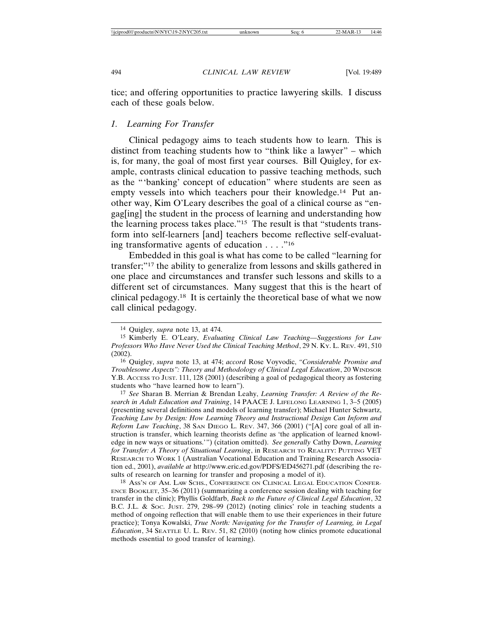tice; and offering opportunities to practice lawyering skills. I discuss each of these goals below.

# *1. Learning For Transfer*

Clinical pedagogy aims to teach students how to learn. This is distinct from teaching students how to "think like a lawyer" – which is, for many, the goal of most first year courses. Bill Quigley, for example, contrasts clinical education to passive teaching methods, such as the "'banking' concept of education" where students are seen as empty vessels into which teachers pour their knowledge.<sup>14</sup> Put another way, Kim O'Leary describes the goal of a clinical course as "engag[ing] the student in the process of learning and understanding how the learning process takes place."15 The result is that "students transform into self-learners [and] teachers become reflective self-evaluating transformative agents of education . . . ."16

Embedded in this goal is what has come to be called "learning for transfer;"17 the ability to generalize from lessons and skills gathered in one place and circumstances and transfer such lessons and skills to a different set of circumstances. Many suggest that this is the heart of clinical pedagogy.18 It is certainly the theoretical base of what we now call clinical pedagogy.

17 *See* Sharan B. Merrian & Brendan Leahy, *Learning Transfer: A Review of the Research in Adult Education and Training*, 14 PAACE J. LIFELONG LEARNING 1, 3–5 (2005) (presenting several definitions and models of learning transfer); Michael Hunter Schwartz, *Teaching Law by Design: How Learning Theory and Instructional Design Can Inform and Reform Law Teaching*, 38 SAN DIEGO L. REV. 347, 366 (2001) ("[A] core goal of all instruction is transfer, which learning theorists define as 'the application of learned knowledge in new ways or situations.'") (citation omitted). *See generally* Cathy Down, *Learning for Transfer: A Theory of Situational Learning*, in RESEARCH TO REALITY: PUTTING VET RESEARCH TO WORK 1 (Australian Vocational Education and Training Research Association ed., 2001), *available at* http://www.eric.ed.gov/PDFS/ED456271.pdf (describing the results of research on learning for transfer and proposing a model of it).

18 ASS'N OF AM. LAW SCHS., CONFERENCE ON CLINICAL LEGAL EDUCATION CONFER-ENCE BOOKLET, 35–36 (2011) (summarizing a conference session dealing with teaching for transfer in the clinic); Phyllis Goldfarb, *Back to the Future of Clinical Legal Education*, 32 B.C. J.L. & SOC. JUST. 279, 298–99 (2012) (noting clinics' role in teaching students a method of ongoing reflection that will enable them to use their experiences in their future practice); Tonya Kowalski, *True North: Navigating for the Transfer of Learning, in Legal Education*, 34 SEATTLE U. L. REV. 51, 82 (2010) (noting how clinics promote educational methods essential to good transfer of learning).

<sup>14</sup> Quigley, *supra* note 13, at 474.

<sup>15</sup> Kimberly E. O'Leary, *Evaluating Clinical Law Teaching—Suggestions for Law Professors Who Have Never Used the Clinical Teaching Method*, 29 N. KY. L. REV. 491, 510 (2002).

<sup>16</sup> Quigley, *supra* note 13, at 474; *accord* Rose Voyvodic, *"Considerable Promise and Troublesome Aspects": Theory and Methodology of Clinical Legal Education*, 20 WINDSOR Y.B. ACCESS TO JUST. 111, 128 (2001) (describing a goal of pedagogical theory as fostering students who "have learned how to learn").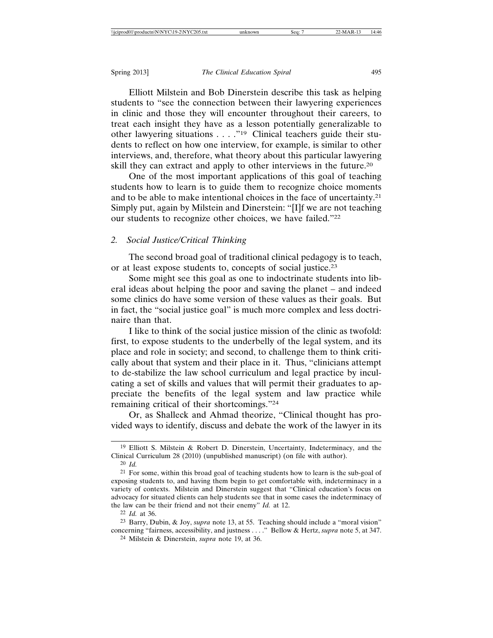Elliott Milstein and Bob Dinerstein describe this task as helping students to "see the connection between their lawyering experiences in clinic and those they will encounter throughout their careers, to treat each insight they have as a lesson potentially generalizable to other lawyering situations . . . ."19 Clinical teachers guide their students to reflect on how one interview, for example, is similar to other interviews, and, therefore, what theory about this particular lawyering skill they can extract and apply to other interviews in the future.20

One of the most important applications of this goal of teaching students how to learn is to guide them to recognize choice moments and to be able to make intentional choices in the face of uncertainty.21 Simply put, again by Milstein and Dinerstein: "[I]f we are not teaching our students to recognize other choices, we have failed."22

#### *2. Social Justice/Critical Thinking*

The second broad goal of traditional clinical pedagogy is to teach, or at least expose students to, concepts of social justice.23

Some might see this goal as one to indoctrinate students into liberal ideas about helping the poor and saving the planet – and indeed some clinics do have some version of these values as their goals. But in fact, the "social justice goal" is much more complex and less doctrinaire than that.

I like to think of the social justice mission of the clinic as twofold: first, to expose students to the underbelly of the legal system, and its place and role in society; and second, to challenge them to think critically about that system and their place in it. Thus, "clinicians attempt to de-stabilize the law school curriculum and legal practice by inculcating a set of skills and values that will permit their graduates to appreciate the benefits of the legal system and law practice while remaining critical of their shortcomings."24

Or, as Shalleck and Ahmad theorize, "Clinical thought has provided ways to identify, discuss and debate the work of the lawyer in its

22 *Id.* at 36.

<sup>19</sup> Elliott S. Milstein & Robert D. Dinerstein, Uncertainty, Indeterminacy, and the Clinical Curriculum 28 (2010) (unpublished manuscript) (on file with author).

<sup>20</sup> *Id.*

<sup>&</sup>lt;sup>21</sup> For some, within this broad goal of teaching students how to learn is the sub-goal of exposing students to, and having them begin to get comfortable with, indeterminacy in a variety of contexts. Milstein and Dinerstein suggest that "Clinical education's focus on advocacy for situated clients can help students see that in some cases the indeterminacy of the law can be their friend and not their enemy" *Id.* at 12.

<sup>23</sup> Barry, Dubin, & Joy, *supra* note 13, at 55. Teaching should include a "moral vision" concerning "fairness, accessibility, and justness . . . ." Bellow & Hertz, *supra* note 5, at 347.

<sup>24</sup> Milstein & Dinerstein, *supra* note 19, at 36.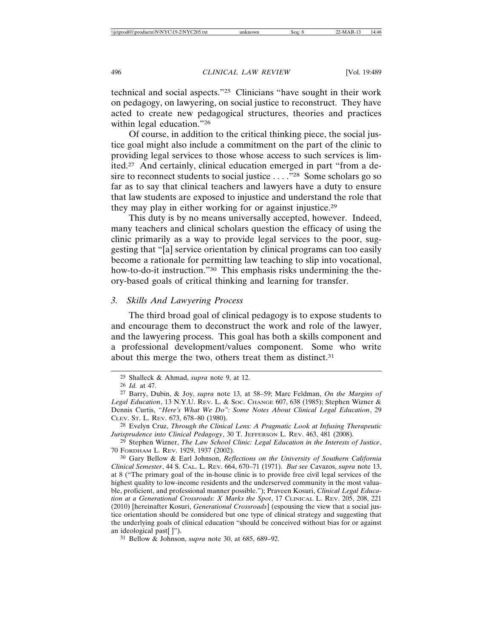technical and social aspects."25 Clinicians "have sought in their work on pedagogy, on lawyering, on social justice to reconstruct. They have acted to create new pedagogical structures, theories and practices within legal education."26

Of course, in addition to the critical thinking piece, the social justice goal might also include a commitment on the part of the clinic to providing legal services to those whose access to such services is limited.27 And certainly, clinical education emerged in part "from a desire to reconnect students to social justice . . . . "28 Some scholars go so far as to say that clinical teachers and lawyers have a duty to ensure that law students are exposed to injustice and understand the role that they may play in either working for or against injustice.29

This duty is by no means universally accepted, however. Indeed, many teachers and clinical scholars question the efficacy of using the clinic primarily as a way to provide legal services to the poor, suggesting that "[a] service orientation by clinical programs can too easily become a rationale for permitting law teaching to slip into vocational, how-to-do-it instruction."<sup>30</sup> This emphasis risks undermining the theory-based goals of critical thinking and learning for transfer.

# *3. Skills And Lawyering Process*

The third broad goal of clinical pedagogy is to expose students to and encourage them to deconstruct the work and role of the lawyer, and the lawyering process. This goal has both a skills component and a professional development/values component. Some who write about this merge the two, others treat them as distinct.<sup>31</sup>

<sup>25</sup> Shalleck & Ahmad, *supra* note 9, at 12.

<sup>26</sup> *Id.* at 47.

<sup>27</sup> Barry, Dubin, & Joy, *supra* note 13, at 58–59; Marc Feldman, *On the Margins of Legal Education*, 13 N.Y.U. REV. L. & SOC. CHANGE 607, 638 (1985); Stephen Wizner & Dennis Curtis, *"Here's What We Do": Some Notes About Clinical Legal Education*, 29 CLEV. ST. L. REV. 673, 678–80 (1980).

<sup>28</sup> Evelyn Cruz, *Through the Clinical Lens: A Pragmatic Look at Infusing Therapeutic Jurisprudence into Clinical Pedagogy*, 30 T. JEFFERSON L. REV. 463, 481 (2008).

<sup>29</sup> Stephen Wizner, *The Law School Clinic: Legal Education in the Interests of Justice*, 70 FORDHAM L. REV. 1929, 1937 (2002).

<sup>30</sup> Gary Bellow & Earl Johnson, *Reflections on the University of Southern California Clinical Semester*, 44 S. CAL. L. REV. 664, 670–71 (1971). *But see* Cavazos, *supra* note 13, at 8 ("The primary goal of the in-house clinic is to provide free civil legal services of the highest quality to low-income residents and the underserved community in the most valuable, proficient, and professional manner possible."); Praveen Kosuri, *Clinical Legal Education at a Generational Crossroads: X Marks the Spot*, 17 CLINICAL L. REV. 205, 208, 221 (2010) [hereinafter Kosuri, *Generational Crossroads*] (espousing the view that a social justice orientation should be considered but one type of clinical strategy and suggesting that the underlying goals of clinical education "should be conceived without bias for or against an ideological past[ ]").

<sup>31</sup> Bellow & Johnson, *supra* note 30, at 685, 689–92.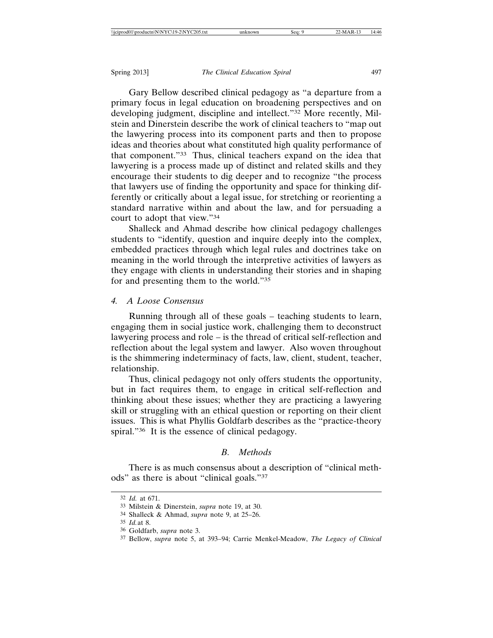Gary Bellow described clinical pedagogy as "a departure from a primary focus in legal education on broadening perspectives and on developing judgment, discipline and intellect."32 More recently, Milstein and Dinerstein describe the work of clinical teachers to "map out the lawyering process into its component parts and then to propose ideas and theories about what constituted high quality performance of that component."33 Thus, clinical teachers expand on the idea that lawyering is a process made up of distinct and related skills and they encourage their students to dig deeper and to recognize "the process that lawyers use of finding the opportunity and space for thinking differently or critically about a legal issue, for stretching or reorienting a standard narrative within and about the law, and for persuading a court to adopt that view."34

Shalleck and Ahmad describe how clinical pedagogy challenges students to "identify, question and inquire deeply into the complex, embedded practices through which legal rules and doctrines take on meaning in the world through the interpretive activities of lawyers as they engage with clients in understanding their stories and in shaping for and presenting them to the world."35

# *4. A Loose Consensus*

Running through all of these goals – teaching students to learn, engaging them in social justice work, challenging them to deconstruct lawyering process and role – is the thread of critical self-reflection and reflection about the legal system and lawyer. Also woven throughout is the shimmering indeterminacy of facts, law, client, student, teacher, relationship.

Thus, clinical pedagogy not only offers students the opportunity, but in fact requires them, to engage in critical self-reflection and thinking about these issues; whether they are practicing a lawyering skill or struggling with an ethical question or reporting on their client issues. This is what Phyllis Goldfarb describes as the "practice-theory spiral."<sup>36</sup> It is the essence of clinical pedagogy.

# *B. Methods*

There is as much consensus about a description of "clinical methods" as there is about "clinical goals."37

<sup>32</sup> *Id.* at 671.

<sup>33</sup> Milstein & Dinerstein, *supra* note 19, at 30.

<sup>34</sup> Shalleck & Ahmad, *supra* note 9, at 25–26.

<sup>35</sup> *Id.*at 8.

<sup>36</sup> Goldfarb, *supra* note 3.

<sup>37</sup> Bellow, *supra* note 5, at 393–94; Carrie Menkel-Meadow, *The Legacy of Clinical*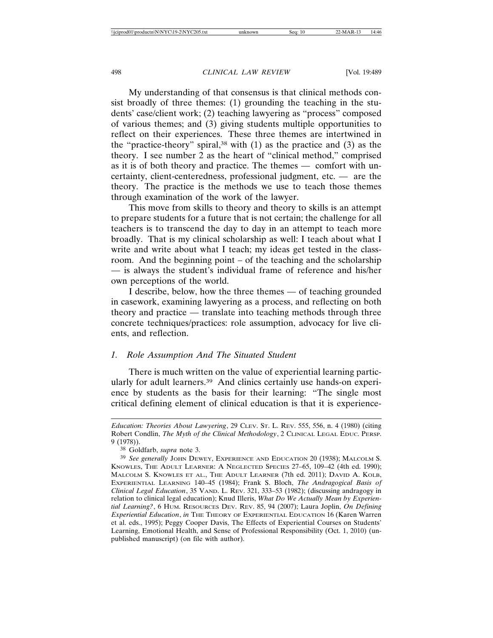My understanding of that consensus is that clinical methods consist broadly of three themes: (1) grounding the teaching in the students' case/client work; (2) teaching lawyering as "process" composed of various themes; and (3) giving students multiple opportunities to reflect on their experiences. These three themes are intertwined in the "practice-theory" spiral,<sup>38</sup> with  $(1)$  as the practice and  $(3)$  as the theory. I see number 2 as the heart of "clinical method," comprised as it is of both theory and practice. The themes — comfort with uncertainty, client-centeredness, professional judgment, etc. — are the theory. The practice is the methods we use to teach those themes through examination of the work of the lawyer.

This move from skills to theory and theory to skills is an attempt to prepare students for a future that is not certain; the challenge for all teachers is to transcend the day to day in an attempt to teach more broadly. That is my clinical scholarship as well: I teach about what I write and write about what I teach; my ideas get tested in the classroom. And the beginning point – of the teaching and the scholarship — is always the student's individual frame of reference and his/her own perceptions of the world.

I describe, below, how the three themes — of teaching grounded in casework, examining lawyering as a process, and reflecting on both theory and practice — translate into teaching methods through three concrete techniques/practices: role assumption, advocacy for live clients, and reflection.

# *1. Role Assumption And The Situated Student*

There is much written on the value of experiential learning particularly for adult learners.39 And clinics certainly use hands-on experience by students as the basis for their learning: "The single most critical defining element of clinical education is that it is experience-

*Education: Theories About Lawyering*, 29 CLEV. ST. L. REV. 555, 556, n. 4 (1980) (citing Robert Condlin, *The Myth of the Clinical Methodology*, 2 CLINICAL LEGAL EDUC. PERSP. 9 (1978)).

<sup>38</sup> Goldfarb, *supra* note 3.

<sup>39</sup> *See generally* JOHN DEWEY, EXPERIENCE AND EDUCATION 20 (1938); MALCOLM S. KNOWLES, THE ADULT LEARNER: A NEGLECTED SPECIES 27-65, 109-42 (4th ed. 1990); MALCOLM S. KNOWLES ET AL., THE ADULT LEARNER (7th ed. 2011); DAVID A. KOLB, EXPERIENTIAL LEARNING 140–45 (1984); Frank S. Bloch, *The Andragogical Basis of Clinical Legal Education*, 35 VAND. L. REV. 321, 333–53 (1982); (discussing andragogy in relation to clinical legal education); Knud Illeris, *What Do We Actually Mean by Experiential Learning?*, 6 HUM. RESOURCES DEV. REV. 85, 94 (2007); Laura Joplin, *On Defining Experiential Education*, *in* THE THEORY OF EXPERIENTIAL EDUCATION 16 (Karen Warren et al. eds., 1995); Peggy Cooper Davis, The Effects of Experiential Courses on Students' Learning, Emotional Health, and Sense of Professional Responsibility (Oct. 1, 2010) (unpublished manuscript) (on file with author).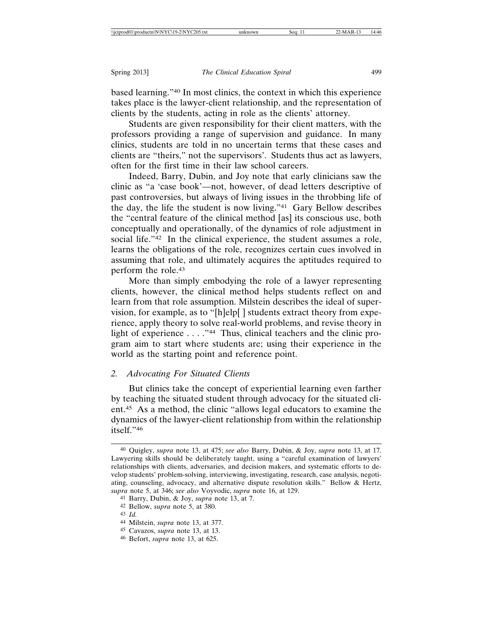based learning."40 In most clinics, the context in which this experience takes place is the lawyer-client relationship, and the representation of clients by the students, acting in role as the clients' attorney.

Students are given responsibility for their client matters, with the professors providing a range of supervision and guidance. In many clinics, students are told in no uncertain terms that these cases and clients are "theirs," not the supervisors'. Students thus act as lawyers, often for the first time in their law school careers.

Indeed, Barry, Dubin, and Joy note that early clinicians saw the clinic as "a 'case book'—not, however, of dead letters descriptive of past controversies, but always of living issues in the throbbing life of the day, the life the student is now living."41 Gary Bellow describes the "central feature of the clinical method [as] its conscious use, both conceptually and operationally, of the dynamics of role adjustment in social life."42 In the clinical experience, the student assumes a role, learns the obligations of the role, recognizes certain cues involved in assuming that role, and ultimately acquires the aptitudes required to perform the role.43

More than simply embodying the role of a lawyer representing clients, however, the clinical method helps students reflect on and learn from that role assumption. Milstein describes the ideal of supervision, for example, as to "[h]elp[ ] students extract theory from experience, apply theory to solve real-world problems, and revise theory in light of experience  $\dots$ ."<sup>44</sup> Thus, clinical teachers and the clinic program aim to start where students are; using their experience in the world as the starting point and reference point.

## *2. Advocating For Situated Clients*

But clinics take the concept of experiential learning even farther by teaching the situated student through advocacy for the situated client.45 As a method, the clinic "allows legal educators to examine the dynamics of the lawyer-client relationship from within the relationship itself."46

<sup>40</sup> Quigley, *supra* note 13, at 475; *see also* Barry, Dubin, & Joy, *supra* note 13, at 17. Lawyering skills should be deliberately taught, using a "careful examination of lawyers' relationships with clients, adversaries, and decision makers, and systematic efforts to develop students' problem-solving, interviewing, investigating, research, case analysis, negotiating, counseling, advocacy, and alternative dispute resolution skills." Bellow & Hertz, *supra* note 5, at 346; *see also* Voyvodic, *supra* note 16, at 129.

<sup>41</sup> Barry, Dubin, & Joy, *supra* note 13, at 7.

<sup>42</sup> Bellow, *supra* note 5, at 380.

<sup>43</sup> *Id.*

<sup>44</sup> Milstein, *supra* note 13, at 377.

<sup>45</sup> Cavazos, *supra* note 13, at 13.

<sup>46</sup> Befort, *supra* note 13, at 625.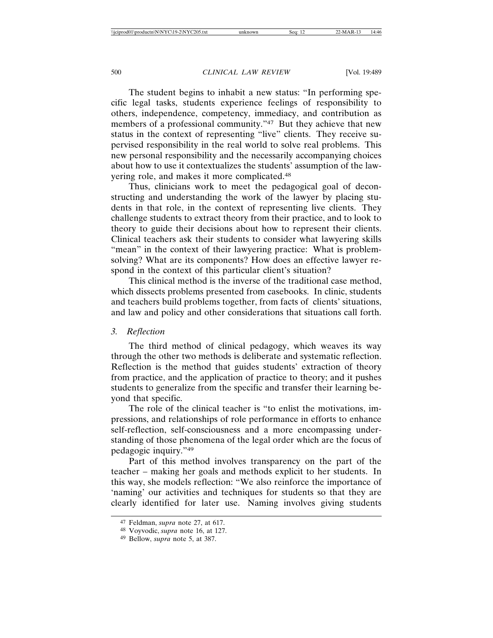The student begins to inhabit a new status: "In performing specific legal tasks, students experience feelings of responsibility to others, independence, competency, immediacy, and contribution as members of a professional community."47 But they achieve that new status in the context of representing "live" clients. They receive supervised responsibility in the real world to solve real problems. This new personal responsibility and the necessarily accompanying choices about how to use it contextualizes the students' assumption of the lawyering role, and makes it more complicated.48

Thus, clinicians work to meet the pedagogical goal of deconstructing and understanding the work of the lawyer by placing students in that role, in the context of representing live clients. They challenge students to extract theory from their practice, and to look to theory to guide their decisions about how to represent their clients. Clinical teachers ask their students to consider what lawyering skills "mean" in the context of their lawyering practice: What is problemsolving? What are its components? How does an effective lawyer respond in the context of this particular client's situation?

This clinical method is the inverse of the traditional case method, which dissects problems presented from casebooks. In clinic, students and teachers build problems together, from facts of clients' situations, and law and policy and other considerations that situations call forth.

# *3. Reflection*

The third method of clinical pedagogy, which weaves its way through the other two methods is deliberate and systematic reflection. Reflection is the method that guides students' extraction of theory from practice, and the application of practice to theory; and it pushes students to generalize from the specific and transfer their learning beyond that specific.

The role of the clinical teacher is "to enlist the motivations, impressions, and relationships of role performance in efforts to enhance self-reflection, self-consciousness and a more encompassing understanding of those phenomena of the legal order which are the focus of pedagogic inquiry."49

Part of this method involves transparency on the part of the teacher – making her goals and methods explicit to her students. In this way, she models reflection: "We also reinforce the importance of 'naming' our activities and techniques for students so that they are clearly identified for later use. Naming involves giving students

<sup>47</sup> Feldman, *supra* note 27, at 617.

<sup>48</sup> Voyvodic, *supra* note 16, at 127.

<sup>49</sup> Bellow, *supra* note 5, at 387.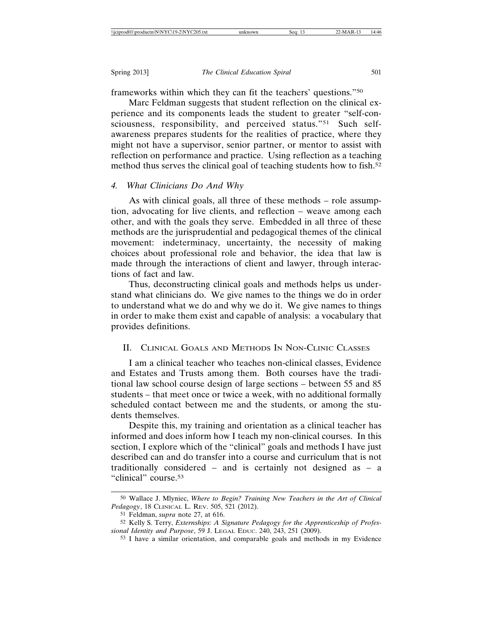frameworks within which they can fit the teachers' questions."50

Marc Feldman suggests that student reflection on the clinical experience and its components leads the student to greater "self-consciousness, responsibility, and perceived status."<sup>51</sup> Such selfawareness prepares students for the realities of practice, where they might not have a supervisor, senior partner, or mentor to assist with reflection on performance and practice. Using reflection as a teaching method thus serves the clinical goal of teaching students how to fish.<sup>52</sup>

## *4. What Clinicians Do And Why*

As with clinical goals, all three of these methods – role assumption, advocating for live clients, and reflection – weave among each other, and with the goals they serve. Embedded in all three of these methods are the jurisprudential and pedagogical themes of the clinical movement: indeterminacy, uncertainty, the necessity of making choices about professional role and behavior, the idea that law is made through the interactions of client and lawyer, through interactions of fact and law.

Thus, deconstructing clinical goals and methods helps us understand what clinicians do. We give names to the things we do in order to understand what we do and why we do it. We give names to things in order to make them exist and capable of analysis: a vocabulary that provides definitions.

# II. CLINICAL GOALS AND METHODS IN NON-CLINIC CLASSES

I am a clinical teacher who teaches non-clinical classes, Evidence and Estates and Trusts among them. Both courses have the traditional law school course design of large sections – between 55 and 85 students – that meet once or twice a week, with no additional formally scheduled contact between me and the students, or among the students themselves.

Despite this, my training and orientation as a clinical teacher has informed and does inform how I teach my non-clinical courses. In this section, I explore which of the "clinical" goals and methods I have just described can and do transfer into a course and curriculum that is not traditionally considered – and is certainly not designed as – a "clinical" course.53

<sup>50</sup> Wallace J. Mlyniec, *Where to Begin? Training New Teachers in the Art of Clinical Pedagogy*, 18 CLINICAL L. REV. 505, 521 (2012).

<sup>51</sup> Feldman, *supra* note 27, at 616.

<sup>52</sup> Kelly S. Terry, *Externships: A Signature Pedagogy for the Apprenticeship of Professional Identity and Purpose*, 59 J. LEGAL EDUC. 240, 243, 251 (2009).

<sup>53</sup> I have a similar orientation, and comparable goals and methods in my Evidence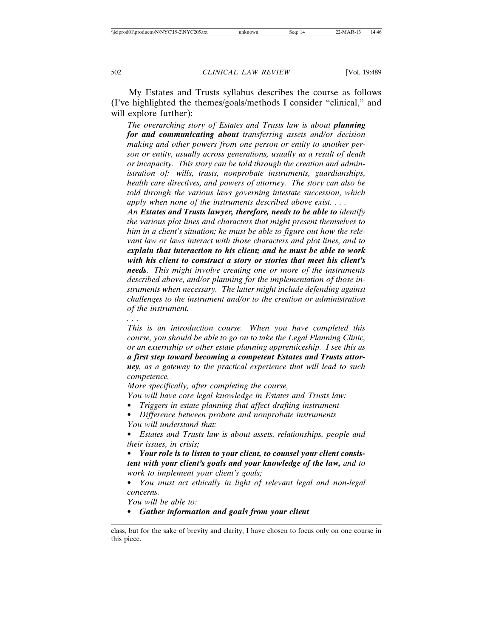My Estates and Trusts syllabus describes the course as follows (I've highlighted the themes/goals/methods I consider "clinical," and will explore further):

*The overarching story of Estates and Trusts law is about planning for and communicating about transferring assets and/or decision making and other powers from one person or entity to another person or entity, usually across generations, usually as a result of death or incapacity. This story can be told through the creation and administration of: wills, trusts, nonprobate instruments, guardianships, health care directives, and powers of attorney. The story can also be told through the various laws governing intestate succession, which apply when none of the instruments described above exist. . . .*

*An Estates and Trusts lawyer, therefore, needs to be able to identify the various plot lines and characters that might present themselves to him in a client's situation; he must be able to figure out how the relevant law or laws interact with those characters and plot lines, and to explain that interaction to his client; and he must be able to work with his client to construct a story or stories that meet his client's needs*. *This might involve creating one or more of the instruments described above, and/or planning for the implementation of those instruments when necessary. The latter might include defending against challenges to the instrument and/or to the creation or administration of the instrument.*

*. . .*

*This is an introduction course. When you have completed this course, you should be able to go on to take the Legal Planning Clinic, or an externship or other estate planning apprenticeship. I see this as a first step toward becoming a competent Estates and Trusts attorney, as a gateway to the practical experience that will lead to such competence.*

*More specifically, after completing the course,*

- *You will have core legal knowledge in Estates and Trusts law:*
- *Triggers in estate planning that affect drafting instrument*
- *Difference between probate and nonprobate instruments*
- *You will understand that:*

• *Estates and Trusts law is about assets, relationships, people and their issues, in crisis;*

• *Your role is to listen to your client, to counsel your client consistent with your client's goals and your knowledge of the law, and to work to implement your client's goals;*

• *You must act ethically in light of relevant legal and non-legal concerns.*

*You will be able to:*

• *Gather information and goals from your client*

class, but for the sake of brevity and clarity, I have chosen to focus only on one course in this piece.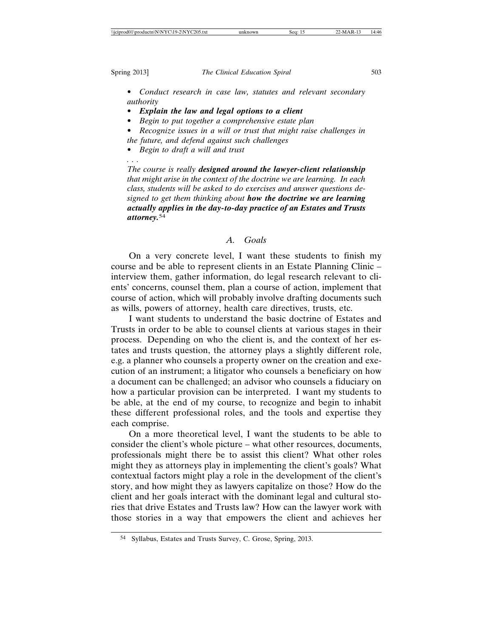*. . .*

Spring 2013] *The Clinical Education Spiral* 503

- *Conduct research in case law, statutes and relevant secondary authority*
- *Explain the law and legal options to a client*
- *Begin to put together a comprehensive estate plan*

• *Recognize issues in a will or trust that might raise challenges in the future, and defend against such challenges*

• *Begin to draft a will and trust*

*The course is really designed around the lawyer-client relationship that might arise in the context of the doctrine we are learning. In each class, students will be asked to do exercises and answer questions designed to get them thinking about how the doctrine we are learning actually applies in the day-to-day practice of an Estates and Trusts attorney.*<sup>54</sup>

# *A. Goals*

On a very concrete level, I want these students to finish my course and be able to represent clients in an Estate Planning Clinic – interview them, gather information, do legal research relevant to clients' concerns, counsel them, plan a course of action, implement that course of action, which will probably involve drafting documents such as wills, powers of attorney, health care directives, trusts, etc.

I want students to understand the basic doctrine of Estates and Trusts in order to be able to counsel clients at various stages in their process. Depending on who the client is, and the context of her estates and trusts question, the attorney plays a slightly different role, e.g. a planner who counsels a property owner on the creation and execution of an instrument; a litigator who counsels a beneficiary on how a document can be challenged; an advisor who counsels a fiduciary on how a particular provision can be interpreted. I want my students to be able, at the end of my course, to recognize and begin to inhabit these different professional roles, and the tools and expertise they each comprise.

On a more theoretical level, I want the students to be able to consider the client's whole picture – what other resources, documents, professionals might there be to assist this client? What other roles might they as attorneys play in implementing the client's goals? What contextual factors might play a role in the development of the client's story, and how might they as lawyers capitalize on those? How do the client and her goals interact with the dominant legal and cultural stories that drive Estates and Trusts law? How can the lawyer work with those stories in a way that empowers the client and achieves her

<sup>54</sup> Syllabus, Estates and Trusts Survey, C. Grose, Spring, 2013.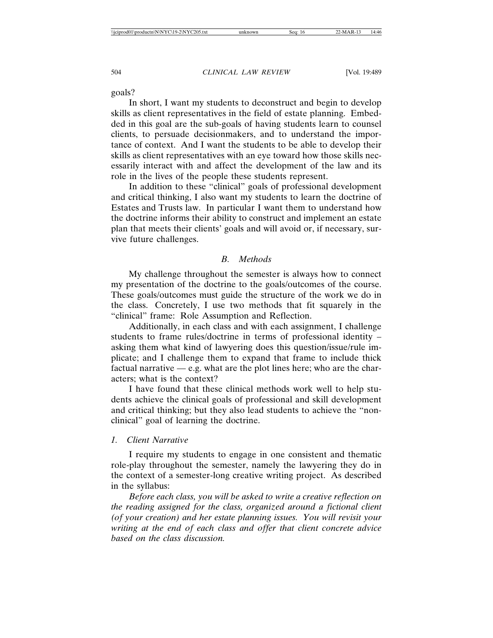goals?

In short, I want my students to deconstruct and begin to develop skills as client representatives in the field of estate planning. Embedded in this goal are the sub-goals of having students learn to counsel clients, to persuade decisionmakers, and to understand the importance of context. And I want the students to be able to develop their skills as client representatives with an eye toward how those skills necessarily interact with and affect the development of the law and its role in the lives of the people these students represent.

In addition to these "clinical" goals of professional development and critical thinking, I also want my students to learn the doctrine of Estates and Trusts law. In particular I want them to understand how the doctrine informs their ability to construct and implement an estate plan that meets their clients' goals and will avoid or, if necessary, survive future challenges.

#### *B. Methods*

My challenge throughout the semester is always how to connect my presentation of the doctrine to the goals/outcomes of the course. These goals/outcomes must guide the structure of the work we do in the class. Concretely, I use two methods that fit squarely in the "clinical" frame: Role Assumption and Reflection.

Additionally, in each class and with each assignment, I challenge students to frame rules/doctrine in terms of professional identity – asking them what kind of lawyering does this question/issue/rule implicate; and I challenge them to expand that frame to include thick factual narrative  $-$  e.g. what are the plot lines here; who are the characters; what is the context?

I have found that these clinical methods work well to help students achieve the clinical goals of professional and skill development and critical thinking; but they also lead students to achieve the "nonclinical" goal of learning the doctrine.

#### *1. Client Narrative*

I require my students to engage in one consistent and thematic role-play throughout the semester, namely the lawyering they do in the context of a semester-long creative writing project. As described in the syllabus:

*Before each class, you will be asked to write a creative reflection on the reading assigned for the class, organized around a fictional client (of your creation) and her estate planning issues. You will revisit your writing at the end of each class and offer that client concrete advice based on the class discussion.*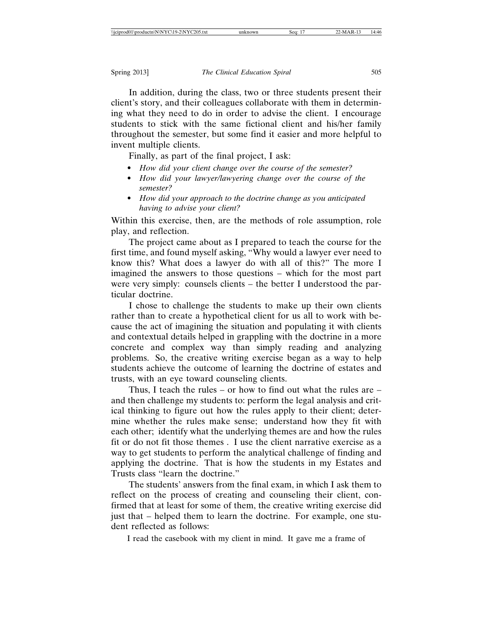In addition, during the class, two or three students present their client's story, and their colleagues collaborate with them in determining what they need to do in order to advise the client. I encourage students to stick with the same fictional client and his/her family throughout the semester, but some find it easier and more helpful to invent multiple clients.

Finally, as part of the final project, I ask:

- *How did your client change over the course of the semester?*
- *How did your lawyer/lawyering change over the course of the semester?*
- *How did your approach to the doctrine change as you anticipated having to advise your client?*

Within this exercise, then, are the methods of role assumption, role play, and reflection.

The project came about as I prepared to teach the course for the first time, and found myself asking, "Why would a lawyer ever need to know this? What does a lawyer do with all of this?" The more I imagined the answers to those questions – which for the most part were very simply: counsels clients – the better I understood the particular doctrine.

I chose to challenge the students to make up their own clients rather than to create a hypothetical client for us all to work with because the act of imagining the situation and populating it with clients and contextual details helped in grappling with the doctrine in a more concrete and complex way than simply reading and analyzing problems. So, the creative writing exercise began as a way to help students achieve the outcome of learning the doctrine of estates and trusts, with an eye toward counseling clients.

Thus, I teach the rules – or how to find out what the rules are – and then challenge my students to: perform the legal analysis and critical thinking to figure out how the rules apply to their client; determine whether the rules make sense; understand how they fit with each other; identify what the underlying themes are and how the rules fit or do not fit those themes . I use the client narrative exercise as a way to get students to perform the analytical challenge of finding and applying the doctrine. That is how the students in my Estates and Trusts class "learn the doctrine."

The students' answers from the final exam, in which I ask them to reflect on the process of creating and counseling their client, confirmed that at least for some of them, the creative writing exercise did just that – helped them to learn the doctrine. For example, one student reflected as follows:

I read the casebook with my client in mind. It gave me a frame of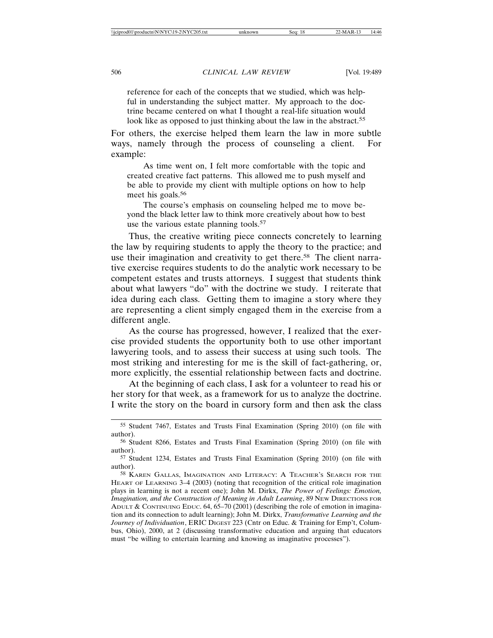reference for each of the concepts that we studied, which was helpful in understanding the subject matter. My approach to the doctrine became centered on what I thought a real-life situation would look like as opposed to just thinking about the law in the abstract.<sup>55</sup>

For others, the exercise helped them learn the law in more subtle ways, namely through the process of counseling a client. For example:

As time went on, I felt more comfortable with the topic and created creative fact patterns. This allowed me to push myself and be able to provide my client with multiple options on how to help meet his goals.56

The course's emphasis on counseling helped me to move beyond the black letter law to think more creatively about how to best use the various estate planning tools.<sup>57</sup>

Thus, the creative writing piece connects concretely to learning the law by requiring students to apply the theory to the practice; and use their imagination and creativity to get there.<sup>58</sup> The client narrative exercise requires students to do the analytic work necessary to be competent estates and trusts attorneys. I suggest that students think about what lawyers "do" with the doctrine we study. I reiterate that idea during each class. Getting them to imagine a story where they are representing a client simply engaged them in the exercise from a different angle.

As the course has progressed, however, I realized that the exercise provided students the opportunity both to use other important lawyering tools, and to assess their success at using such tools. The most striking and interesting for me is the skill of fact-gathering, or, more explicitly, the essential relationship between facts and doctrine.

At the beginning of each class, I ask for a volunteer to read his or her story for that week, as a framework for us to analyze the doctrine. I write the story on the board in cursory form and then ask the class

<sup>55</sup> Student 7467, Estates and Trusts Final Examination (Spring 2010) (on file with author).

<sup>56</sup> Student 8266, Estates and Trusts Final Examination (Spring 2010) (on file with author).

<sup>57</sup> Student 1234, Estates and Trusts Final Examination (Spring 2010) (on file with author).

<sup>58</sup> KAREN GALLAS, IMAGINATION AND LITERACY: A TEACHER'S SEARCH FOR THE HEART OF LEARNING 3–4 (2003) (noting that recognition of the critical role imagination plays in learning is not a recent one); John M. Dirkx, *The Power of Feelings: Emotion, Imagination, and the Construction of Meaning in Adult Learning*, 89 New DIRECTIONS FOR ADULT & CONTINUING EDUC. 64, 65–70 (2001) (describing the role of emotion in imagination and its connection to adult learning); John M. Dirkx, *Transformative Learning and the Journey of Individuation*, ERIC DIGEST 223 (Cntr on Educ. & Training for Emp't, Columbus, Ohio), 2000, at 2 (discussing transformative education and arguing that educators must "be willing to entertain learning and knowing as imaginative processes").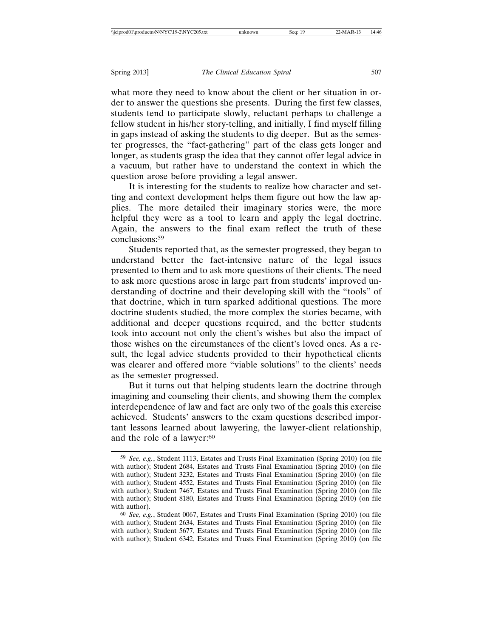what more they need to know about the client or her situation in order to answer the questions she presents. During the first few classes, students tend to participate slowly, reluctant perhaps to challenge a fellow student in his/her story-telling, and initially, I find myself filling in gaps instead of asking the students to dig deeper. But as the semester progresses, the "fact-gathering" part of the class gets longer and longer, as students grasp the idea that they cannot offer legal advice in a vacuum, but rather have to understand the context in which the question arose before providing a legal answer.

It is interesting for the students to realize how character and setting and context development helps them figure out how the law applies. The more detailed their imaginary stories were, the more helpful they were as a tool to learn and apply the legal doctrine. Again, the answers to the final exam reflect the truth of these conclusions:59

Students reported that, as the semester progressed, they began to understand better the fact-intensive nature of the legal issues presented to them and to ask more questions of their clients. The need to ask more questions arose in large part from students' improved understanding of doctrine and their developing skill with the "tools" of that doctrine, which in turn sparked additional questions. The more doctrine students studied, the more complex the stories became, with additional and deeper questions required, and the better students took into account not only the client's wishes but also the impact of those wishes on the circumstances of the client's loved ones. As a result, the legal advice students provided to their hypothetical clients was clearer and offered more "viable solutions" to the clients' needs as the semester progressed.

But it turns out that helping students learn the doctrine through imagining and counseling their clients, and showing them the complex interdependence of law and fact are only two of the goals this exercise achieved. Students' answers to the exam questions described important lessons learned about lawyering, the lawyer-client relationship, and the role of a lawyer:<sup>60</sup>

<sup>59</sup> *See, e.g.*, Student 1113, Estates and Trusts Final Examination (Spring 2010) (on file with author); Student 2684, Estates and Trusts Final Examination (Spring 2010) (on file with author); Student 3232, Estates and Trusts Final Examination (Spring 2010) (on file with author); Student 4552, Estates and Trusts Final Examination (Spring 2010) (on file with author); Student 7467, Estates and Trusts Final Examination (Spring 2010) (on file with author); Student 8180, Estates and Trusts Final Examination (Spring 2010) (on file with author).

<sup>60</sup> *See, e.g.*, Student 0067, Estates and Trusts Final Examination (Spring 2010) (on file with author); Student 2634, Estates and Trusts Final Examination (Spring 2010) (on file with author); Student 5677, Estates and Trusts Final Examination (Spring 2010) (on file with author); Student 6342, Estates and Trusts Final Examination (Spring 2010) (on file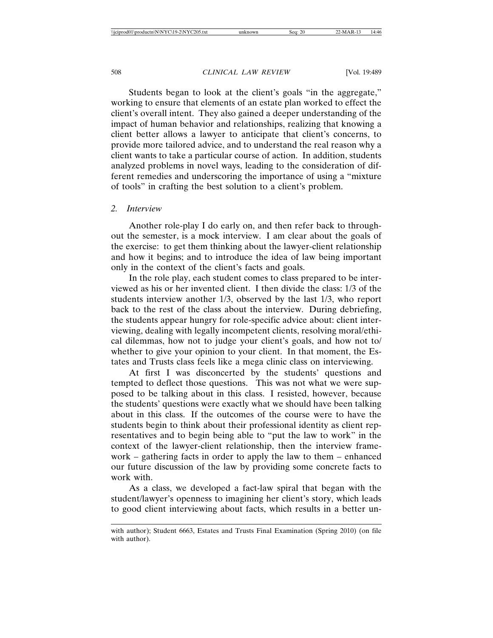Students began to look at the client's goals "in the aggregate," working to ensure that elements of an estate plan worked to effect the client's overall intent. They also gained a deeper understanding of the impact of human behavior and relationships, realizing that knowing a client better allows a lawyer to anticipate that client's concerns, to provide more tailored advice, and to understand the real reason why a client wants to take a particular course of action. In addition, students analyzed problems in novel ways, leading to the consideration of different remedies and underscoring the importance of using a "mixture of tools" in crafting the best solution to a client's problem.

# *2. Interview*

Another role-play I do early on, and then refer back to throughout the semester, is a mock interview. I am clear about the goals of the exercise: to get them thinking about the lawyer-client relationship and how it begins; and to introduce the idea of law being important only in the context of the client's facts and goals.

In the role play, each student comes to class prepared to be interviewed as his or her invented client. I then divide the class: 1/3 of the students interview another 1/3, observed by the last 1/3, who report back to the rest of the class about the interview. During debriefing, the students appear hungry for role-specific advice about: client interviewing, dealing with legally incompetent clients, resolving moral/ethical dilemmas, how not to judge your client's goals, and how not to/ whether to give your opinion to your client. In that moment, the Estates and Trusts class feels like a mega clinic class on interviewing.

At first I was disconcerted by the students' questions and tempted to deflect those questions. This was not what we were supposed to be talking about in this class. I resisted, however, because the students' questions were exactly what we should have been talking about in this class. If the outcomes of the course were to have the students begin to think about their professional identity as client representatives and to begin being able to "put the law to work" in the context of the lawyer-client relationship, then the interview framework – gathering facts in order to apply the law to them – enhanced our future discussion of the law by providing some concrete facts to work with.

As a class, we developed a fact-law spiral that began with the student/lawyer's openness to imagining her client's story, which leads to good client interviewing about facts, which results in a better un-

with author); Student 6663, Estates and Trusts Final Examination (Spring 2010) (on file with author).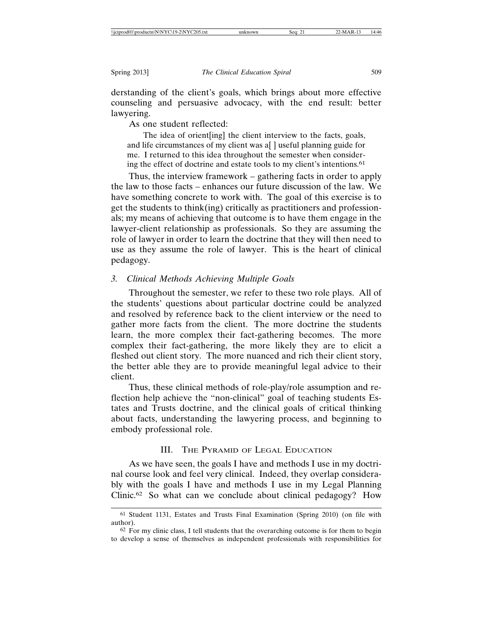derstanding of the client's goals, which brings about more effective counseling and persuasive advocacy, with the end result: better lawyering.

As one student reflected:

The idea of orient[ing] the client interview to the facts, goals, and life circumstances of my client was a[ ] useful planning guide for me. I returned to this idea throughout the semester when considering the effect of doctrine and estate tools to my client's intentions.61

Thus, the interview framework – gathering facts in order to apply the law to those facts – enhances our future discussion of the law. We have something concrete to work with. The goal of this exercise is to get the students to think(ing) critically as practitioners and professionals; my means of achieving that outcome is to have them engage in the lawyer-client relationship as professionals. So they are assuming the role of lawyer in order to learn the doctrine that they will then need to use as they assume the role of lawyer. This is the heart of clinical pedagogy.

## *3. Clinical Methods Achieving Multiple Goals*

Throughout the semester, we refer to these two role plays. All of the students' questions about particular doctrine could be analyzed and resolved by reference back to the client interview or the need to gather more facts from the client. The more doctrine the students learn, the more complex their fact-gathering becomes. The more complex their fact-gathering, the more likely they are to elicit a fleshed out client story. The more nuanced and rich their client story, the better able they are to provide meaningful legal advice to their client.

Thus, these clinical methods of role-play/role assumption and reflection help achieve the "non-clinical" goal of teaching students Estates and Trusts doctrine, and the clinical goals of critical thinking about facts, understanding the lawyering process, and beginning to embody professional role.

# III. THE PYRAMID OF LEGAL EDUCATION

As we have seen, the goals I have and methods I use in my doctrinal course look and feel very clinical. Indeed, they overlap considerably with the goals I have and methods I use in my Legal Planning Clinic.62 So what can we conclude about clinical pedagogy? How

<sup>61</sup> Student 1131, Estates and Trusts Final Examination (Spring 2010) (on file with author).

 $62$  For my clinic class, I tell students that the overarching outcome is for them to begin to develop a sense of themselves as independent professionals with responsibilities for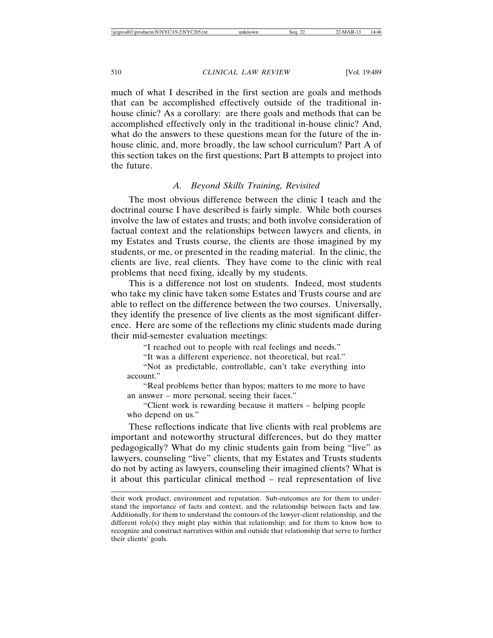much of what I described in the first section are goals and methods that can be accomplished effectively outside of the traditional inhouse clinic? As a corollary: are there goals and methods that can be accomplished effectively only in the traditional in-house clinic? And, what do the answers to these questions mean for the future of the inhouse clinic, and, more broadly, the law school curriculum? Part A of this section takes on the first questions; Part B attempts to project into the future.

# *A. Beyond Skills Training, Revisited*

The most obvious difference between the clinic I teach and the doctrinal course I have described is fairly simple. While both courses involve the law of estates and trusts; and both involve consideration of factual context and the relationships between lawyers and clients, in my Estates and Trusts course, the clients are those imagined by my students, or me, or presented in the reading material. In the clinic, the clients are live, real clients. They have come to the clinic with real problems that need fixing, ideally by my students.

This is a difference not lost on students. Indeed, most students who take my clinic have taken some Estates and Trusts course and are able to reflect on the difference between the two courses. Universally, they identify the presence of live clients as the most significant difference. Here are some of the reflections my clinic students made during their mid-semester evaluation meetings:

"I reached out to people with real feelings and needs."

"It was a different experience, not theoretical, but real."

"Not as predictable, controllable, can't take everything into account."

"Real problems better than hypos; matters to me more to have an answer – more personal, seeing their faces."

"Client work is rewarding because it matters – helping people who depend on us."

These reflections indicate that live clients with real problems are important and noteworthy structural differences, but do they matter pedagogically? What do my clinic students gain from being "live" as lawyers, counseling "live" clients, that my Estates and Trusts students do not by acting as lawyers, counseling their imagined clients? What is it about this particular clinical method – real representation of live

their work product, environment and reputation. Sub-outcomes are for them to understand the importance of facts and context, and the relationship between facts and law. Additionally, for them to understand the contours of the lawyer-client relationship, and the different role(s) they might play within that relationship; and for them to know how to recognize and construct narratives within and outside that relationship that serve to further their clients' goals.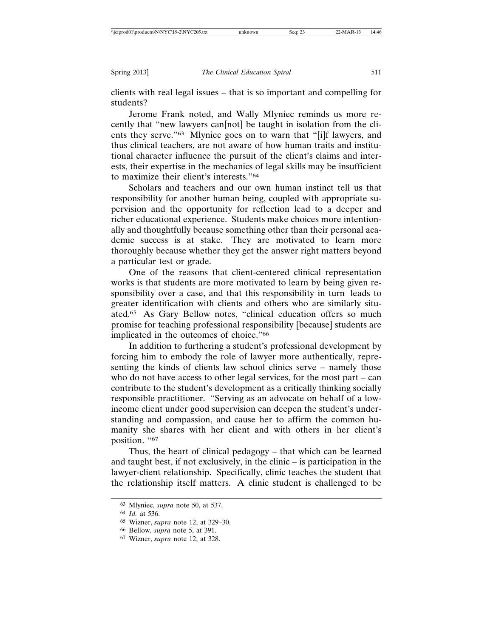clients with real legal issues – that is so important and compelling for students?

Jerome Frank noted, and Wally Mlyniec reminds us more recently that "new lawyers can[not] be taught in isolation from the clients they serve."63 Mlyniec goes on to warn that "[i]f lawyers, and thus clinical teachers, are not aware of how human traits and institutional character influence the pursuit of the client's claims and interests, their expertise in the mechanics of legal skills may be insufficient to maximize their client's interests."64

Scholars and teachers and our own human instinct tell us that responsibility for another human being, coupled with appropriate supervision and the opportunity for reflection lead to a deeper and richer educational experience. Students make choices more intentionally and thoughtfully because something other than their personal academic success is at stake. They are motivated to learn more thoroughly because whether they get the answer right matters beyond a particular test or grade.

One of the reasons that client-centered clinical representation works is that students are more motivated to learn by being given responsibility over a case, and that this responsibility in turn leads to greater identification with clients and others who are similarly situated.65 As Gary Bellow notes, "clinical education offers so much promise for teaching professional responsibility [because] students are implicated in the outcomes of choice."66

In addition to furthering a student's professional development by forcing him to embody the role of lawyer more authentically, representing the kinds of clients law school clinics serve – namely those who do not have access to other legal services, for the most part – can contribute to the student's development as a critically thinking socially responsible practitioner. "Serving as an advocate on behalf of a lowincome client under good supervision can deepen the student's understanding and compassion, and cause her to affirm the common humanity she shares with her client and with others in her client's position. "67

Thus, the heart of clinical pedagogy – that which can be learned and taught best, if not exclusively, in the clinic – is participation in the lawyer-client relationship. Specifically, clinic teaches the student that the relationship itself matters. A clinic student is challenged to be

<sup>63</sup> Mlyniec, *supra* note 50, at 537.

<sup>64</sup> *Id.* at 536.

<sup>65</sup> Wizner, *supra* note 12, at 329–30.

<sup>66</sup> Bellow, *supra* note 5, at 391.

<sup>67</sup> Wizner, *supra* note 12, at 328.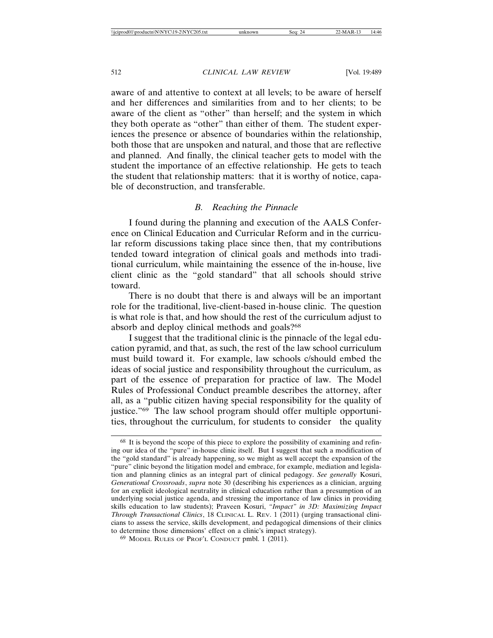aware of and attentive to context at all levels; to be aware of herself and her differences and similarities from and to her clients; to be aware of the client as "other" than herself; and the system in which they both operate as "other" than either of them. The student experiences the presence or absence of boundaries within the relationship, both those that are unspoken and natural, and those that are reflective and planned. And finally, the clinical teacher gets to model with the student the importance of an effective relationship. He gets to teach the student that relationship matters: that it is worthy of notice, capable of deconstruction, and transferable.

# *B. Reaching the Pinnacle*

I found during the planning and execution of the AALS Conference on Clinical Education and Curricular Reform and in the curricular reform discussions taking place since then, that my contributions tended toward integration of clinical goals and methods into traditional curriculum, while maintaining the essence of the in-house, live client clinic as the "gold standard" that all schools should strive toward.

There is no doubt that there is and always will be an important role for the traditional, live-client-based in-house clinic. The question is what role is that, and how should the rest of the curriculum adjust to absorb and deploy clinical methods and goals?68

I suggest that the traditional clinic is the pinnacle of the legal education pyramid, and that, as such, the rest of the law school curriculum must build toward it. For example, law schools c/should embed the ideas of social justice and responsibility throughout the curriculum, as part of the essence of preparation for practice of law. The Model Rules of Professional Conduct preamble describes the attorney, after all, as a "public citizen having special responsibility for the quality of justice."69 The law school program should offer multiple opportunities, throughout the curriculum, for students to consider the quality

<sup>68</sup> It is beyond the scope of this piece to explore the possibility of examining and refining our idea of the "pure" in-house clinic itself. But I suggest that such a modification of the "gold standard" is already happening, so we might as well accept the expansion of the "pure" clinic beyond the litigation model and embrace, for example, mediation and legislation and planning clinics as an integral part of clinical pedagogy. *See generally* Kosuri, *Generational Crossroads*, *supra* note 30 (describing his experiences as a clinician, arguing for an explicit ideological neutrality in clinical education rather than a presumption of an underlying social justice agenda, and stressing the importance of law clinics in providing skills education to law students); Praveen Kosuri, *"Impact" in 3D: Maximizing Impact Through Transactional Clinics*, 18 CLINICAL L. REV. 1 (2011) (urging transactional clinicians to assess the service, skills development, and pedagogical dimensions of their clinics to determine those dimensions' effect on a clinic's impact strategy).

<sup>69</sup> MODEL RULES OF PROF'L CONDUCT pmbl. 1 (2011).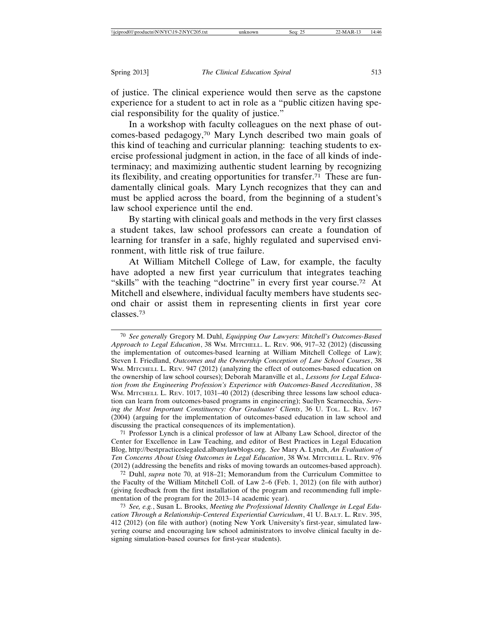of justice. The clinical experience would then serve as the capstone experience for a student to act in role as a "public citizen having special responsibility for the quality of justice."

In a workshop with faculty colleagues on the next phase of outcomes-based pedagogy,70 Mary Lynch described two main goals of this kind of teaching and curricular planning: teaching students to exercise professional judgment in action, in the face of all kinds of indeterminacy; and maximizing authentic student learning by recognizing its flexibility, and creating opportunities for transfer.71 These are fundamentally clinical goals. Mary Lynch recognizes that they can and must be applied across the board, from the beginning of a student's law school experience until the end.

By starting with clinical goals and methods in the very first classes a student takes, law school professors can create a foundation of learning for transfer in a safe, highly regulated and supervised environment, with little risk of true failure.

At William Mitchell College of Law, for example, the faculty have adopted a new first year curriculum that integrates teaching "skills" with the teaching "doctrine" in every first year course.72 At Mitchell and elsewhere, individual faculty members have students second chair or assist them in representing clients in first year core classes.73

71 Professor Lynch is a clinical professor of law at Albany Law School, director of the Center for Excellence in Law Teaching, and editor of Best Practices in Legal Education Blog, http://bestpracticeslegaled.albanylawblogs.org. *See* Mary A. Lynch, *An Evaluation of Ten Concerns About Using Outcomes in Legal Education*, 38 WM. MITCHELL L. REV. 976 (2012) (addressing the benefits and risks of moving towards an outcomes-based approach).

72 Duhl, *supra* note 70, at 918–21; Memorandum from the Curriculum Committee to the Faculty of the William Mitchell Coll. of Law 2–6 (Feb. 1, 2012) (on file with author) (giving feedback from the first installation of the program and recommending full implementation of the program for the 2013–14 academic year).

<sup>70</sup> *See generally* Gregory M. Duhl, *Equipping Our Lawyers: Mitchell's Outcomes-Based Approach to Legal Education*, 38 WM. MITCHELL. L. REV. 906, 917–32 (2012) (discussing the implementation of outcomes-based learning at William Mitchell College of Law); Steven I. Friedland, *Outcomes and the Ownership Conception of Law School Courses*, 38 WM. MITCHELL L. REV. 947 (2012) (analyzing the effect of outcomes-based education on the ownership of law school courses); Deborah Maranville et al., *Lessons for Legal Education from the Engineering Profession's Experience with Outcomes-Based Accreditation*, 38 WM. MITCHELL L. REV. 1017, 1031–40 (2012) (describing three lessons law school education can learn from outcomes-based programs in engineering); Suellyn Scarnecchia, *Serving the Most Important Constituency: Our Graduates' Clients*, 36 U. TOL. L. REV. 167 (2004) (arguing for the implementation of outcomes-based education in law school and discussing the practical consequences of its implementation).

<sup>73</sup> *See, e.g.*, Susan L. Brooks, *Meeting the Professional Identity Challenge in Legal Education Through a Relationship-Centered Experiential Curriculum*, 41 U. BALT. L. REV. 395, 412 (2012) (on file with author) (noting New York University's first-year, simulated lawyering course and encouraging law school administrators to involve clinical faculty in designing simulation-based courses for first-year students).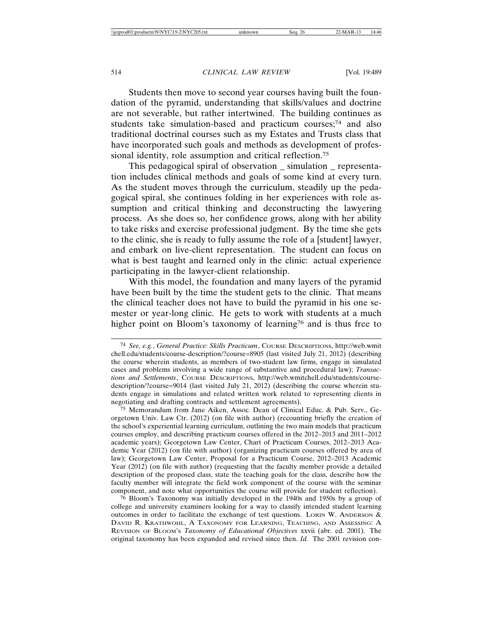Students then move to second year courses having built the foundation of the pyramid, understanding that skills/values and doctrine are not severable, but rather intertwined. The building continues as students take simulation-based and practicum courses;<sup>74</sup> and also traditional doctrinal courses such as my Estates and Trusts class that have incorporated such goals and methods as development of professional identity, role assumption and critical reflection.<sup>75</sup>

This pedagogical spiral of observation \_ simulation \_ representation includes clinical methods and goals of some kind at every turn. As the student moves through the curriculum, steadily up the pedagogical spiral, she continues folding in her experiences with role assumption and critical thinking and deconstructing the lawyering process. As she does so, her confidence grows, along with her ability to take risks and exercise professional judgment. By the time she gets to the clinic, she is ready to fully assume the role of a [student] lawyer, and embark on live-client representation. The student can focus on what is best taught and learned only in the clinic: actual experience participating in the lawyer-client relationship.

With this model, the foundation and many layers of the pyramid have been built by the time the student gets to the clinic. That means the clinical teacher does not have to build the pyramid in his one semester or year-long clinic. He gets to work with students at a much higher point on Bloom's taxonomy of learning<sup>76</sup> and is thus free to

76 Bloom's Taxonomy was initially developed in the 1940s and 1950s by a group of college and university examiners looking for a way to classify intended student learning outcomes in order to facilitate the exchange of test questions. LORIN W. ANDERSON  $\&$ DAVID R. KRATHWOHL, A TAXONOMY FOR LEARNING, TEACHING, AND ASSESSING: A REVISION OF BLOOM'S *Taxonomy of Educational Objectives* xxvii (abr. ed. 2001). The original taxonomy has been expanded and revised since then. *Id.* The 2001 revision con-

<sup>74</sup> *See, e.g.*, *General Practice: Skills Practicum*, COURSE DESCRIPTIONS, http://web.wmit chell.edu/students/course-description/?course=8905 (last visited July 21, 2012) (describing the course wherein students, as members of two-student law firms, engage in simulated cases and problems involving a wide range of substantive and procedural law); *Transactions and Settlements*, COURSE DESCRIPTIONS, http://web.wmitchell.edu/students/coursedescription/?course=9014 (last visited July 21, 2012) (describing the course wherein students engage in simulations and related written work related to representing clients in negotiating and drafting contracts and settlement agreements).

<sup>75</sup> Memorandum from Jane Aiken, Assoc. Dean of Clinical Educ. & Pub. Serv., Georgetown Univ. Law Ctr. (2012) (on file with author) (recounting briefly the creation of the school's experiential learning curriculum, outlining the two main models that practicum courses employ, and describing practicum courses offered in the 2012–2013 and 2011–2012 academic years); Georgetown Law Center, Chart of Practicum Courses, 2012–2013 Academic Year (2012) (on file with author) (organizing practicum courses offered by area of law); Georgetown Law Center, Proposal for a Practicum Course, 2012–2013 Academic Year (2012) (on file with author) (requesting that the faculty member provide a detailed description of the proposed class, state the teaching goals for the class, describe how the faculty member will integrate the field work component of the course with the seminar component, and note what opportunities the course will provide for student reflection).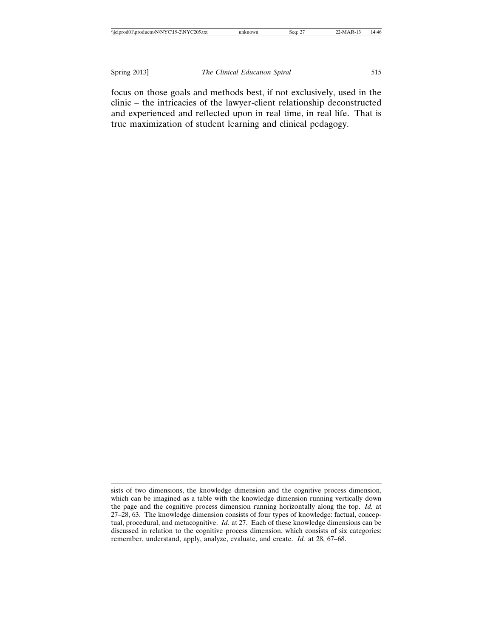focus on those goals and methods best, if not exclusively, used in the clinic – the intricacies of the lawyer-client relationship deconstructed and experienced and reflected upon in real time, in real life. That is true maximization of student learning and clinical pedagogy.

sists of two dimensions, the knowledge dimension and the cognitive process dimension, which can be imagined as a table with the knowledge dimension running vertically down the page and the cognitive process dimension running horizontally along the top. *Id.* at 27–28, 63. The knowledge dimension consists of four types of knowledge: factual, conceptual, procedural, and metacognitive. *Id.* at 27. Each of these knowledge dimensions can be discussed in relation to the cognitive process dimension, which consists of six categories: remember, understand, apply, analyze, evaluate, and create. *Id.* at 28, 67–68.